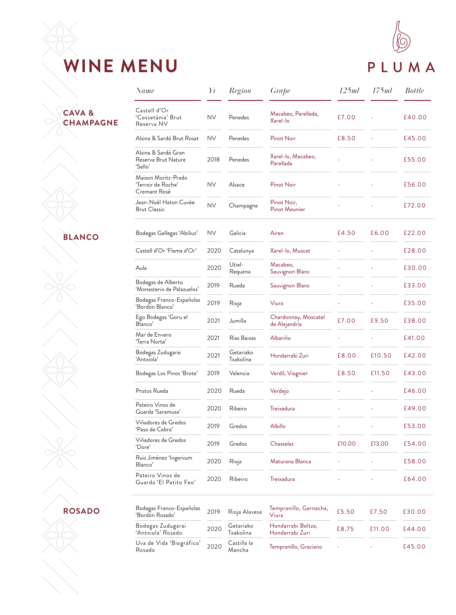### **WINE MENU**

# PLUMA

#### **CAVA & CHAMPAGNE**

#### **BLANCO**

**ROSADO**

| Name                                                      | Yr        | Region                 | Grape                                 | 125ml  | 175ml  | <b>Bottle</b> |
|-----------------------------------------------------------|-----------|------------------------|---------------------------------------|--------|--------|---------------|
| Castell d'Or<br>'Cossetània' Brut<br>Reserva NV           | NV.       | Penedes                | Macabeo, Parellada,<br>Xarel-lo       | £7.00  |        | £40.00        |
| Alsina & Sardà Brut Rosat                                 | NV.       | Penedes                | Pinot Noir                            | £8.50  |        | £45.00        |
| Alsina & Sardà Gran<br>Reserva Brut Nature<br>'Sello'     | 2018      | Penedes                | Xarel-lo, Macabeo,<br>Parellada       |        |        | £55.00        |
| Maison Moritz-Prado<br>'Terroir de Roche'<br>Cremant Rosé | NV.       | Alsace                 | Pinot Noir                            |        |        | £56.00        |
| Jean-Noël Haton Cuvée<br><b>Brut Classic</b>              | <b>NV</b> | Champagne              | Pinot Noir,<br><b>Pinot Meunier</b>   |        |        | £72.00        |
| Bodegas Gallegas 'Abilius'                                | NV.       | Galicia                | Airen                                 | £4.50  | £6.00  | £22.00        |
| Castell d'Or 'Flama d'Or'                                 | 2020      | Catalunya              | Xarel-lo, Muscat                      |        |        | £28.00        |
| Aula                                                      | 2020      | Utiel-<br>Requena      | Macabeo,<br>Sauvignon Blanc           |        |        | £30.00        |
| Bodegas de Alberto<br>'Monasterio de Palazuelos'          | 2019      | Rueda                  | Sauvignon Blanc                       |        |        | £33.00        |
| Bodegas Franco-Españolas<br>'Bordón Blanco'               | 2019      | Rioja                  | Viura                                 |        |        | £35.00        |
| Ego Bodegas 'Goru el<br>Blanco'                           | 2021      | Jumilla                | Chardonnay, Moscatel<br>de Alejandría | £7.00  | £9.50  | £38.00        |
| Mar de Envero<br>'Terra Norte'                            | 2021      | Rias Baixas            | Albariño                              |        |        | £41.00        |
| Bodegas Zudugarai<br>'Antxiola'                           | 2021      | Getariako<br>Txakolina | Hondarrabi Zuri                       | £8.00  | £10.50 | £42.00        |
| Bodegas Los Pinos 'Brote'                                 | 2019      | Valencia               | Verdil, Viognier                      | £8.50  | £11.50 | £43.00        |
| Protos Rueda                                              | 2020      | Rueda                  | Verdejo                               |        |        | £46.00        |
| Pateiro Vinos de<br>Guarda 'Saramusa'                     | 2020      | Ribeiro                | Treixadura                            |        |        | £49.00        |
| Viñadores de Gredos<br>'Paso de Cebra'                    | 2019      | Gredos                 | <b>Albillo</b>                        |        |        | £53.00        |
| Viñadores de Gredos<br>'Dore'                             | 2019      | Gredos                 | <b>Chasselas</b>                      | £10.00 | £13.00 | £54.00        |
| Ruiz Jiménez 'Ingenium<br>Blanco'                         | 2020      | Rioja                  | Maturana Blanca                       |        |        | £58.00        |
| Pateiro Vinos de<br>Guarda 'El Patito Feo'                | 2020      | Ribeiro                | Treixadura                            |        |        | £64.00        |
| Bodegas Franco-Españolas<br>'Bordón Rosado'               | 2019      | Rioja Alavesa          | Tempranillo, Garnacha,<br>Viura       | £5.50  | £7.50  | £30.00        |
| Bodegas Zudugarai<br>'Antxiola' Rosado                    | 2020      | Getariako<br>Txakolina | Hondarrabi Beltza,<br>Hondarrabi Zuri | £8.75  | £11.00 | £44.00        |
| Uva de Vida 'Biográfico'<br>Rosado                        | 2020      | Castilla la<br>Mancha  | Tempranillo, Graciano                 |        |        | £45.00        |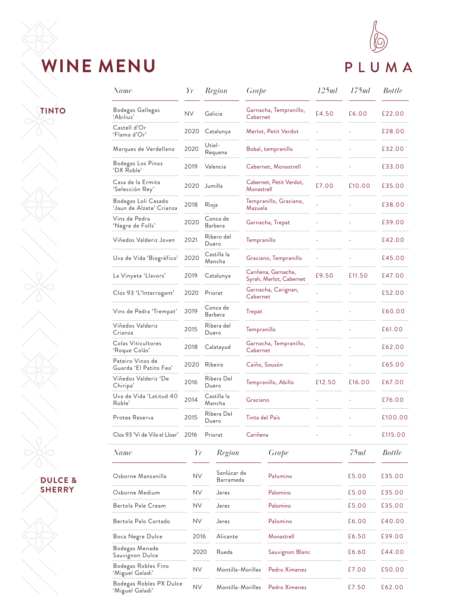## **WINE MENU**



**TINTO**

| <b>DULCE &amp;</b> |
|--------------------|
| SHERRY             |

| Name                                            | Yr        | Region                |                          | Grape          |                                                | 125ml  | 175ml  | <b>Bottle</b> |
|-------------------------------------------------|-----------|-----------------------|--------------------------|----------------|------------------------------------------------|--------|--------|---------------|
| Bodegas Gallegas<br>'Abilius'                   | NV.       | Galicia               |                          | Cabernet       | Garnacha, Tempranillo,                         | £4.50  | £6.00  | £22.00        |
| Castell d'Or<br>'Flama d'Or'                    | 2020      | Catalunya             |                          |                | Merlot, Petit Verdot                           |        |        | £28.00        |
| Marques de Verdellano                           | 2020      | Utiel-<br>Requena     |                          |                | Bobal, tempranillo                             |        |        | £32.00        |
| Bodegas Los Pinos<br>'DX Roble'                 | 2019      | Valencia              |                          |                | Cabernet, Monastrell                           |        |        | £33.00        |
| Casa de la Ermita<br>'Selección Rey'            | 2020      | Jumilla               |                          | Monastrell     | Cabernet, Petit Verdot,                        | £7.00  | £10.00 | £35.00        |
| Bodegas Loli Casado<br>'Jaun de Alzate' Crianza | 2018      | Rioja                 |                          | Mazuela        | Tempranillo, Graciano,                         |        |        | £38.00        |
| Vins de Pedra<br>'Negre de Folls'               | 2020      | Conca de<br>Barbera   |                          |                | Garnacha, Trepat                               |        |        | £39.00        |
| Viñedos Valderiz Joven                          | 2021      | Ribero del<br>Duero   |                          | Tempranillo    |                                                |        |        | £42.00        |
| Uva de Vida 'Biográfico'                        | 2020      | Castilla la<br>Mancha |                          |                | Graciano, Tempranillo                          |        |        | £45.00        |
| La Vinyeta 'Llavors'                            | 2019      | Catalunya             |                          |                | Cariñena, Garnacha,<br>Syrah, Merlot, Cabernet | £9.50  | £11.50 | £47.00        |
| Clos 93 'L'Interrogant'                         | 2020      | Priorat               |                          | Cabernet       | Garnacha, Carignan,                            |        |        | £52.00        |
| Vins de Pedra 'Trempat'                         | 2019      | Conca de<br>Barbera   |                          | Trepat         |                                                |        |        | £60.00        |
| Viñedos Valderiz<br>Crianza                     | 2015      | Ribera del<br>Duero   |                          | Tempranillo    |                                                |        |        | £61.00        |
| Colas Viticultores<br>'Roque Colás'             | 2018      | Calatayud             |                          | Cabernet       | Garnacha, Tempranillo,                         |        |        | £62.00        |
| Pateiro Vinos de<br>Guarda 'El Patito Feo'      | 2020      | Ribeiro               |                          |                | Caíño, Sousón                                  |        |        | £65.00        |
| Viñedos Valderiz 'De<br>Chiripa'                | 2016      | Ribera Del<br>Duero   |                          |                | Tempranillo, Abillo                            | £12.50 | £16.00 | £67.00        |
| Uva de Vida 'Latitud 40<br>Roble'               | 2014      | Castilla la<br>Mancha |                          | Graciano       |                                                |        |        | £76.00        |
| Protos Reserva                                  | 2015      | Ribera Del<br>Duero   |                          | Tinta del País |                                                |        |        | £100.00       |
| Clos 93 'Vi de Vila el Lloar'                   | 2016      | Priorat               |                          | Cariñena       |                                                |        |        | £115.00       |
| Name                                            | Yr        |                       | Region                   |                | Grape                                          |        | 75ml   | <b>Bottle</b> |
| Osborne Manzanilla                              | <b>NV</b> |                       | Sanlúcar de<br>Barrameda |                | Palomino                                       |        | £5.00  | £35.00        |
| Osborne Medium                                  | ΝV        |                       | Jerez                    |                | Palomino                                       |        | £5.00  | £35.00        |
| Bertola Pale Cream                              | ΝV        | Jerez                 |                          | Palomino       |                                                |        | £5.00  | £35.00        |
| Bertola Palo Cortado                            | NV.       | Jerez                 |                          |                | Palomino                                       |        | £6.00  | £40.00        |
| Boca Negre Dulce                                | 2016      |                       | Alicante                 |                | Monastrell                                     |        | £6.50  | £39.00        |
| Bodegas Menade<br>Sauvignon Dulce               | 2020      |                       | Rueda                    |                | Sauvignon Blanc                                |        | £6.60  | £44.00        |
| Bodegas Robles Fino<br>'Miguel Galadi'          | <b>NV</b> |                       | Montilla-Morilles        |                | Pedro Ximenez                                  |        | £7.00  | £50.00        |
| Bodegas Robles PX Dulce<br>Miguel Galadi'       | <b>NV</b> |                       | Montilla-Morilles        |                | Pedro Ximenez                                  |        | £7.50  | £62.00        |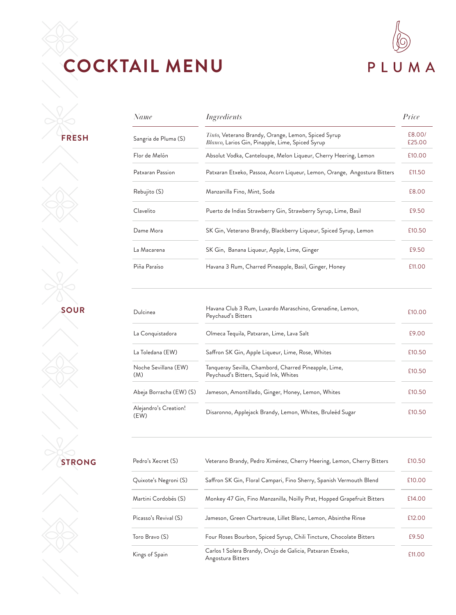## **COCKTAIL MENU**



**FRESH**

| Name                 | Ingredients                                                                                             | Price            |
|----------------------|---------------------------------------------------------------------------------------------------------|------------------|
| Sangria de Pluma (S) | Tinto, Veterano Brandy, Orange, Lemon, Spiced Syrup<br>Blanco, Larios Gin, Pinapple, Lime, Spiced Syrup | £8,00/<br>£25.00 |
| Flor de Melón        | Absolut Vodka, Canteloupe, Melon Liqueur, Cherry Heering, Lemon                                         | £10.00           |
| Patxaran Passion     | Patxaran Etxeko, Passoa, Acorn Liqueur, Lemon, Orange, Angostura Bitters                                | £11.50           |
| Rebujito (S)         | Manzanilla Fino, Mint, Soda                                                                             | £8.00            |
| Clavelito            | Puerto de Indias Strawberry Gin, Strawberry Syrup, Lime, Basil                                          | £9.50            |
| Dame Mora            | SK Gin, Veterano Brandy, Blackberry Liqueur, Spiced Syrup, Lemon                                        | £10.50           |
| La Macarena          | SK Gin, Banana Liqueur, Apple, Lime, Ginger                                                             | £9.50            |
| Piña Paraíso         | Havana 3 Rum, Charred Pineapple, Basil, Ginger, Honey                                                   | £11.00           |

**SOUR**

| Dulcinea                      | Havana Club 3 Rum, Luxardo Maraschino, Grenadine, Lemon,<br>Peychaud's Bitters                 | £10.00 |
|-------------------------------|------------------------------------------------------------------------------------------------|--------|
| La Conquistadora              | Olmeca Tequila, Patxaran, Lime, Lava Salt                                                      | £9.00  |
| La Toledana (EW)              | Saffron SK Gin, Apple Liqueur, Lime, Rose, Whites                                              | £10.50 |
| Noche Sevillana (EW)<br>(M)   | Tanqueray Sevilla, Chambord, Charred Pineapple, Lime,<br>Peychaud's Bitters, Squid Ink, Whites | £10.50 |
| Abeja Borracha (EW) (S)       | Jameson, Amontillado, Ginger, Honey, Lemon, Whites                                             | £10.50 |
| Alejandro's Creation!<br>(EW) | Disaronno, Applejack Brandy, Lemon, Whites, Bruleéd Sugar                                      | £10.50 |

**STRONG**

| Pedro's Xecret (S)    | Veterano Brandy, Pedro Ximénez, Cherry Heering, Lemon, Cherry Bitters           | £10.50 |
|-----------------------|---------------------------------------------------------------------------------|--------|
| Quixote's Negroni (S) | Saffron SK Gin, Floral Campari, Fino Sherry, Spanish Vermouth Blend             | £10.00 |
| Martini Cordobés (S)  | Monkey 47 Gin, Fino Manzanilla, Noilly Prat, Hopped Grapefruit Bitters          | £14.00 |
| Picasso's Revival (S) | Jameson, Green Chartreuse, Lillet Blanc, Lemon, Absinthe Rinse                  | £12.00 |
| Toro Bravo (S)        | Four Roses Bourbon, Spiced Syrup, Chili Tincture, Chocolate Bitters             | £9.50  |
| Kings of Spain        | Carlos 1 Solera Brandy, Orujo de Galicia, Patxaran Etxeko,<br>Angostura Bitters | £11.00 |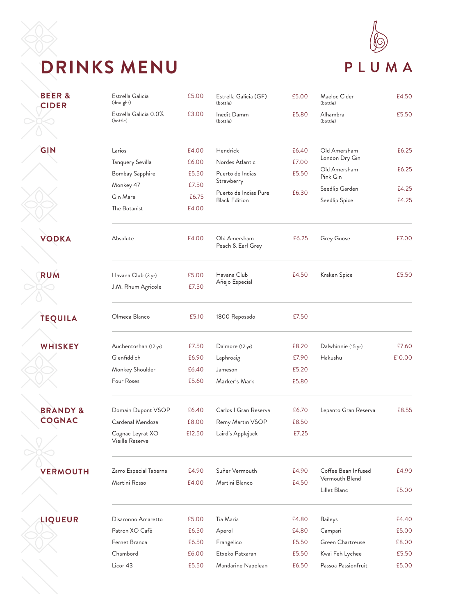# **DRINKS MENU**



| <b>BEER&amp;</b><br><b>CIDER</b>     | Estrella Galicia<br>(draught)       | £5.00  | Estrella Galicia (GF)<br>(bottle)             | £5.00 | Maeloc Cider<br>(bottle)              | £4.50  |
|--------------------------------------|-------------------------------------|--------|-----------------------------------------------|-------|---------------------------------------|--------|
|                                      | Estrella Galicia 0.0%<br>(bottle)   | £3.00  | Inedit Damm<br>(bottle)                       | £5.80 | Alhambra<br>(bottle)                  | £5.50  |
| GIN                                  | Larios                              | £4.00  | Hendrick                                      | £6.40 | Old Amersham                          | £6.25  |
|                                      | Tanquery Sevilla                    | £6.00  | Nordes Atlantic                               | £7.00 | London Dry Gin                        |        |
|                                      | Bombay Sapphire                     | £5.50  | Puerto de Indias                              | £5.50 | Old Amersham<br>Pink Gin              | £6.25  |
|                                      | Monkey 47                           | £7.50  | Strawberry                                    |       | Seedlip Garden                        | £4.25  |
|                                      | Gin Mare                            | £6.75  | Puerto de Indias Pure<br><b>Black Edition</b> | £6.30 | Seedlip Spice                         | £4.25  |
|                                      | The Botanist                        | £4.00  |                                               |       |                                       |        |
| <b>VODKA</b>                         | Absolute                            | £4.00  | Old Amersham<br>Peach & Earl Grey             | £6.25 | Grey Goose                            | £7.00  |
| <b>RUM</b>                           | Havana Club (3 yr)                  | £5.00  | Havana Club                                   | £4.50 | Kraken Spice                          | £5.50  |
|                                      | J.M. Rhum Agricole                  | £7.50  | Añejo Especial                                |       |                                       |        |
|                                      |                                     |        |                                               |       |                                       |        |
| <b>TEQUILA</b>                       | Olmeca Blanco                       | £5.10  | 1800 Reposado                                 | £7.50 |                                       |        |
| <b>WHISKEY</b>                       | Auchentoshan (12 yr)                | £7.50  | Dalmore (12 yr)                               | £8.20 | Dalwhinnie (15 yr)                    | £7.60  |
|                                      | Glenfiddich                         | £6.90  | Laphroaig                                     | £7.90 | Hakushu                               | £10.00 |
|                                      | Monkey Shoulder                     | £6.40  | Jameson                                       | £5.20 |                                       |        |
|                                      | Four Roses                          | £5.60  | Marker's Mark                                 | £5.80 |                                       |        |
|                                      | Domain Dupont VSOP                  | £6.40  | Carlos I Gran Reserva                         | £6.70 | Lepanto Gran Reserva                  | £8.55  |
| <b>BRANDY &amp;</b><br><b>COGNAC</b> | Cardenal Mendoza                    | £8.00  | Remy Martin VSOP                              | £8.50 |                                       |        |
|                                      | Cognac Leyrat XO<br>Vieille Reserve | £12.50 | Laird's Applejack                             | £7.25 |                                       |        |
|                                      |                                     |        |                                               |       |                                       |        |
| <b>VERMOUTH</b>                      | Zarro Especial Taberna              | £4.90  | Suñer Vermouth                                | £4.90 | Coffee Bean Infused<br>Vermouth Blend | £4.90  |
|                                      | Martini Rosso                       | £4.00  | Martini Blanco                                | £4.50 | Lillet Blanc                          | £5.00  |
|                                      |                                     |        |                                               |       |                                       |        |
| <b>LIQUEUR</b>                       | Disaronno Amaretto                  | £5.00  | Tia Maria                                     | £4.80 | <b>Baileys</b>                        | £4.40  |
|                                      | Patron XO Café                      | £6.50  | Aperol                                        | £4.80 | Campari                               | £5.00  |
|                                      | Fernet Branca                       | £6.50  | Frangelico                                    | £5.50 | Green Chartreuse                      | £8.00  |
|                                      | Chambord                            | £6.00  | Etxeko Patxaran                               | £5.50 | Kwai Feh Lychee                       | £5.50  |
|                                      | Licor 43                            | £5.50  | Mandarine Napolean                            | £6.50 | Passoa Passionfruit                   | £5.00  |
|                                      |                                     |        |                                               |       |                                       |        |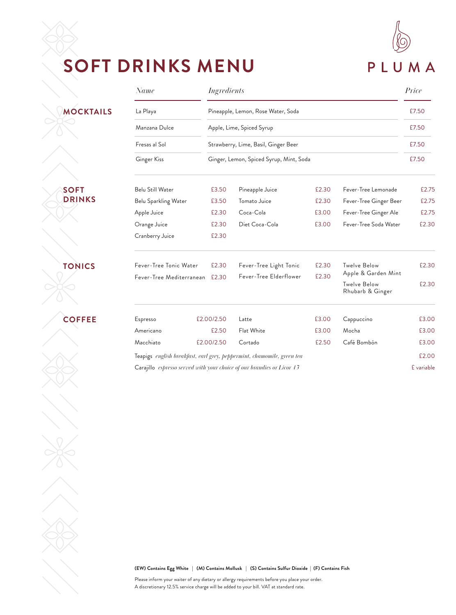

### **SOFT DRINKS MENU**

|                  | Name                                                                   |            | <b>Ingredients</b>                                                |                                                                        |       |                                                                | Price      |  |
|------------------|------------------------------------------------------------------------|------------|-------------------------------------------------------------------|------------------------------------------------------------------------|-------|----------------------------------------------------------------|------------|--|
| <b>MOCKTAILS</b> | La Playa                                                               |            | Pineapple, Lemon, Rose Water, Soda                                |                                                                        |       |                                                                |            |  |
|                  | Manzana Dulce<br>Fresas al Sol                                         |            | Apple, Lime, Spiced Syrup<br>Strawberry, Lime, Basil, Ginger Beer |                                                                        |       |                                                                |            |  |
|                  |                                                                        |            |                                                                   |                                                                        |       |                                                                |            |  |
|                  | Ginger Kiss                                                            |            | Ginger, Lemon, Spiced Syrup, Mint, Soda                           |                                                                        |       |                                                                |            |  |
| <b>SOFT</b>      | <b>Belu Still Water</b>                                                |            | £3.50                                                             | Pineapple Juice                                                        | £2.30 | Fever-Tree Lemonade                                            | £2.75      |  |
| <b>DRINKS</b>    | Belu Sparkling Water                                                   |            | £3.50                                                             | Tomato Juice                                                           | £2.30 | Fever-Tree Ginger Beer                                         | £2.75      |  |
|                  | Apple Juice                                                            |            | £2.30                                                             | Coca-Cola                                                              | £3.00 | Fever-Tree Ginger Ale                                          | £2.75      |  |
|                  | Orange Juice                                                           |            | £2.30                                                             | Diet Coca-Cola                                                         | £3.00 | Fever-Tree Soda Water                                          | £2.30      |  |
|                  | Cranberry Juice                                                        |            | £2.30                                                             |                                                                        |       |                                                                |            |  |
| <b>TONICS</b>    | Fever-Tree Tonic Water                                                 |            | £2.30                                                             | Fever-Tree Light Tonic                                                 | £2.30 | Twelve Below                                                   | £2.30      |  |
|                  | Fever-Tree Mediterranean                                               |            | £2.30                                                             | Fever-Tree Elderflower                                                 | £2.30 | Apple & Garden Mint<br><b>Twelve Below</b><br>Rhubarb & Ginger | £2.30      |  |
| <b>COFFEE</b>    | Espresso                                                               | £2.00/2.50 |                                                                   | Latte                                                                  | £3.00 | Cappuccino                                                     | £3.00      |  |
|                  | Americano                                                              |            | £2.50                                                             | Flat White                                                             | £3.00 | Mocha                                                          | £3.00      |  |
|                  | Macchiato                                                              | £2.00/2.50 |                                                                   | Cortado                                                                | £2.50 | Café Bombón                                                    | £3.00      |  |
|                  | Teapigs english breakfast, earl grey, peppermint, chamomile, green tea |            |                                                                   |                                                                        |       |                                                                |            |  |
|                  |                                                                        |            |                                                                   | Carajillo espresso served with your choice of our brandies or Licor 43 |       |                                                                | £ variable |  |

**(EW) Contains Egg White | (M) Contains Mollusk | (S) Contains Sulfur Dioxide | (F) Contains Fish**

Please inform your waiter of any dietary or allergy requirements before you place your order. A discretionary 12.5% service charge will be added to your bill. VAT at standard rate.